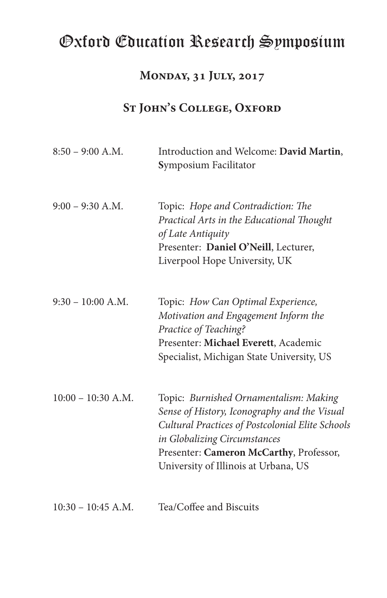## Oxford Education Research Symposium

### **Monday, 31 July, 2017**

### ST **JOHN'S COLLEGE, OXFORD**

| $8:50 - 9:00$ A.M.   | Introduction and Welcome: David Martin,<br>Symposium Facilitator                                                                                                                                                                                              |  |  |
|----------------------|---------------------------------------------------------------------------------------------------------------------------------------------------------------------------------------------------------------------------------------------------------------|--|--|
| $9:00 - 9:30$ A.M.   | Topic: Hope and Contradiction: The<br>Practical Arts in the Educational Thought<br>of Late Antiquity<br>Presenter: Daniel O'Neill, Lecturer,<br>Liverpool Hope University, UK                                                                                 |  |  |
| $9:30 - 10:00$ A.M.  | Topic: How Can Optimal Experience,<br>Motivation and Engagement Inform the<br>Practice of Teaching?<br>Presenter: Michael Everett, Academic<br>Specialist, Michigan State University, US                                                                      |  |  |
| $10:00 - 10:30$ A.M. | Topic: Burnished Ornamentalism: Making<br>Sense of History, Iconography and the Visual<br>Cultural Practices of Postcolonial Elite Schools<br>in Globalizing Circumstances<br>Presenter: Cameron McCarthy, Professor,<br>University of Illinois at Urbana, US |  |  |
| $10:30 - 10:45$ A.M. | Tea/Coffee and Biscuits                                                                                                                                                                                                                                       |  |  |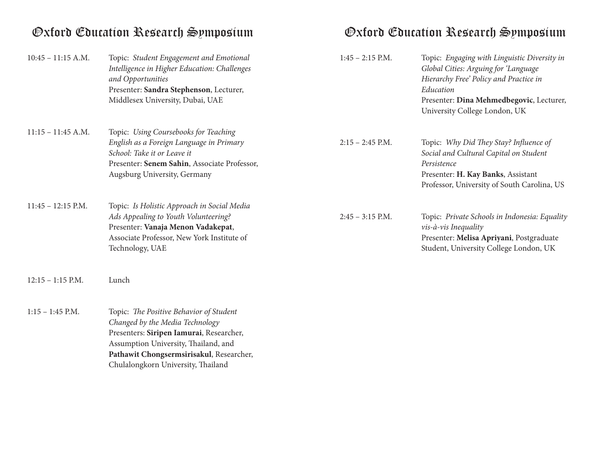# Oxford Education Research Symposium Oxford Education Research Symposium

| $10:45 - 11:15$ A.M. | Topic: Student Engagement and Emotional<br>Intelligence in Higher Education: Challenges<br>and Opportunities<br>Presenter: Sandra Stephenson, Lecturer,<br>Middlesex University, Dubai, UAE                                                      | $1:45 - 2:15$ P.M. | Topic: Engaging with Linguistic Diversity in<br>Global Cities: Arguing for 'Language<br>Hierarchy Free' Policy and Practice in<br>Education<br>Presenter: Dina Mehmedbegovic, Lecturer,<br>University College London, UK |
|----------------------|--------------------------------------------------------------------------------------------------------------------------------------------------------------------------------------------------------------------------------------------------|--------------------|--------------------------------------------------------------------------------------------------------------------------------------------------------------------------------------------------------------------------|
| $11:15 - 11:45$ A.M. | Topic: Using Coursebooks for Teaching<br>English as a Foreign Language in Primary<br>School: Take it or Leave it<br>Presenter: Senem Sahin, Associate Professor,<br>Augsburg University, Germany                                                 | $2:15 - 2:45$ P.M. | Topic: Why Did They Stay? Influence of<br>Social and Cultural Capital on Student<br>Persistence<br>Presenter: H. Kay Banks, Assistant<br>Professor, University of South Carolina, US                                     |
| $11:45 - 12:15$ P.M. | Topic: Is Holistic Approach in Social Media<br>Ads Appealing to Youth Volunteering?<br>Presenter: Vanaja Menon Vadakepat,<br>Associate Professor, New York Institute of<br>Technology, UAE                                                       | $2:45 - 3:15$ P.M. | Topic: Private Schools in Indonesia: Equality<br>$vis-\dot{a}-vis$ Inequality<br>Presenter: Melisa Apriyani, Postgraduate<br>Student, University College London, UK                                                      |
| $12:15 - 1:15$ P.M.  | Lunch                                                                                                                                                                                                                                            |                    |                                                                                                                                                                                                                          |
| $1:15 - 1:45$ P.M.   | Topic: The Positive Behavior of Student<br>Changed by the Media Technology<br>Presenters: Siripen Iamurai, Researcher,<br>Assumption University, Thailand, and<br>Pathawit Chongsermsirisakul, Researcher,<br>Chulalongkorn University, Thailand |                    |                                                                                                                                                                                                                          |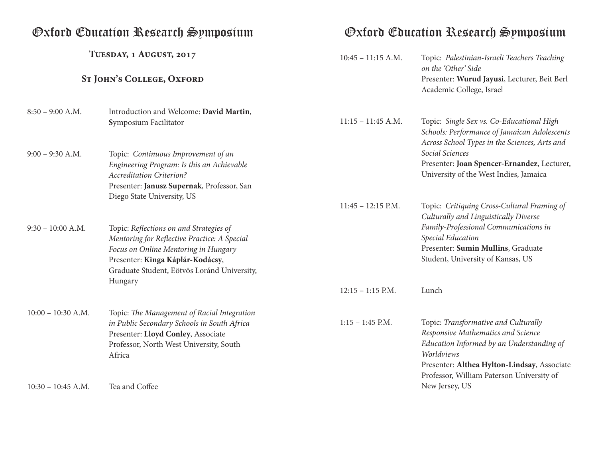**Tuesday, 1 August, 2017**

## ST **JOHN'S COLLEGE, OXFORD**

| $8:50 - 9:00$ A.M.   | Introduction and Welcome: David Martin,<br>Symposium Facilitator                                                                                                                                                              | $11:15 - 11:45$ A.M. | Topic: Single Sex vs. Co-Educational High<br>Schools: Performance of Jamaican Adolescents<br>Across School Types in the Sciences, Arts and                                                                                        |
|----------------------|-------------------------------------------------------------------------------------------------------------------------------------------------------------------------------------------------------------------------------|----------------------|-----------------------------------------------------------------------------------------------------------------------------------------------------------------------------------------------------------------------------------|
| $9:00 - 9:30$ A.M.   | Topic: Continuous Improvement of an<br>Engineering Program: Is this an Achievable<br><b>Accreditation Criterion?</b><br>Presenter: Janusz Supernak, Professor, San<br>Diego State University, US                              |                      | Social Sciences<br>Presenter: Joan Spencer-Ernandez, Lecturer,<br>University of the West Indies, Jamaica                                                                                                                          |
|                      |                                                                                                                                                                                                                               | $11:45 - 12:15$ P.M. | Topic: Critiquing Cross-Cultural Framing of<br>Culturally and Linguistically Diverse                                                                                                                                              |
| $9:30 - 10:00$ A.M.  | Topic: Reflections on and Strategies of<br>Mentoring for Reflective Practice: A Special<br>Focus on Online Mentoring in Hungary<br>Presenter: Kinga Káplár-Kodácsy,<br>Graduate Student, Eötvös Loránd University,<br>Hungary |                      | Family-Professional Communications in<br>Special Education<br>Presenter: Sumin Mullins, Graduate<br>Student, University of Kansas, US                                                                                             |
|                      |                                                                                                                                                                                                                               | $12:15 - 1:15$ P.M.  | Lunch                                                                                                                                                                                                                             |
| $10:00 - 10:30$ A.M. | Topic: The Management of Racial Integration<br>in Public Secondary Schools in South Africa<br>Presenter: Lloyd Conley, Associate<br>Professor, North West University, South<br>Africa                                         | $1:15 - 1:45$ P.M.   | Topic: Transformative and Culturally<br>Responsive Mathematics and Science<br>Education Informed by an Understanding of<br>Worldviews<br>Presenter: Althea Hylton-Lindsay, Associate<br>Professor, William Paterson University of |
| $10:30 - 10:45$ A.M. | Tea and Coffee                                                                                                                                                                                                                |                      | New Jersey, US                                                                                                                                                                                                                    |

## Oxford Education Research Symposium Oxford Education Research Symposium

*on the 'Other' Side*

10:45 – 11:15 A.M.

Academic College, Israel

Topic: *Palestinian-Israeli Teachers Teaching* 

Presenter: **Wurud Jayusi**, Lecturer, Beit Berl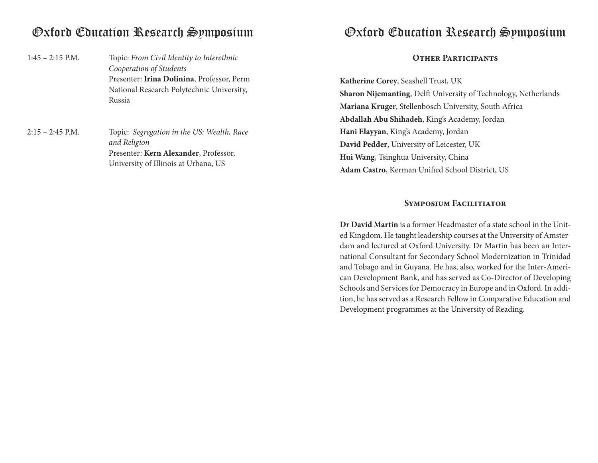Topic: *From Civil Identity to Interethnic Cooperation of Students* Presenter: **Irina Dolinina**, Professor, Perm National Research Polytechnic University, Russia  $1:45 - 2:15$  P.M.

Topic: *Segregation in the US: Wealth, Race and Religion* Presenter: **Kern Alexander**, Professor, University of Illinois at Urbana, US 2:15 – 2:45 P.M.

## Oxford Education Research Symposium Oxford Education Research Symposium

### **Other Participants**

**Katherine Corey**, Seashell Trust, UK **Sharon Nijemanting**, Delft University of Technology, Netherlands **Mariana Kruger**, Stellenbosch University, South Africa **Abdallah Abu Shihadeh**, King's Academy, Jordan **Hani Elayyan**, King's Academy, Jordan **David Pedder**, University of Leicester, UK **Hui Wang**, Tsinghua University, China **Adam Castro**, Kerman Unified School District, US

### **Symposium Facilitiator**

**Dr David Martin** is a former Headmaster of a state school in the United Kingdom. He taught leadership courses at the University of Amsterdam and lectured at Oxford University. Dr Martin has been an International Consultant for Secondary School Modernization in Trinidad and Tobago and in Guyana. He has, also, worked for the Inter-American Development Bank, and has served as Co-Director of Developing Schools and Services for Democracy in Europe and in Oxford. In addition, he has served as a Research Fellow in Comparative Education and Development programmes at the University of Reading.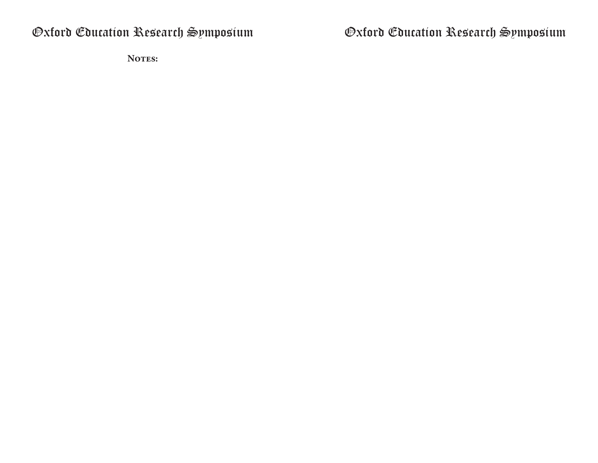Oxford Education Research Symposium

Notes:

Oxford Education Research Symposium